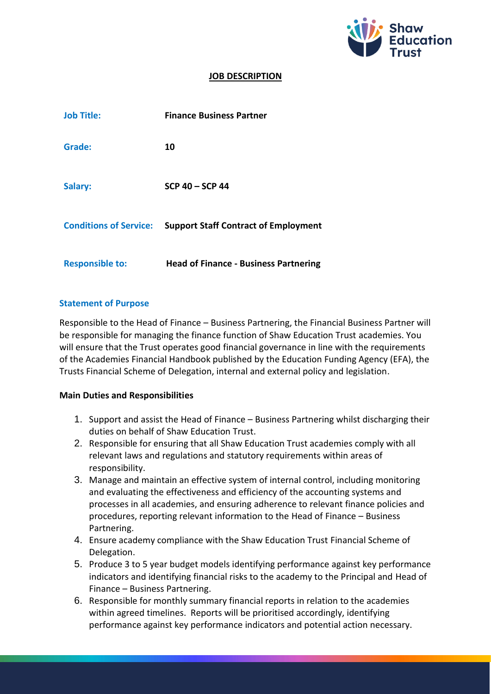

## **JOB DESCRIPTION**

| <b>Job Title:</b>             | <b>Finance Business Partner</b>              |
|-------------------------------|----------------------------------------------|
| Grade:                        | 10                                           |
| Salary:                       | $SCP$ 40 - $SCP$ 44                          |
| <b>Conditions of Service:</b> | <b>Support Staff Contract of Employment</b>  |
| <b>Responsible to:</b>        | <b>Head of Finance - Business Partnering</b> |

### **Statement of Purpose**

Responsible to the Head of Finance – Business Partnering, the Financial Business Partner will be responsible for managing the finance function of Shaw Education Trust academies. You will ensure that the Trust operates good financial governance in line with the requirements of the Academies Financial Handbook published by the Education Funding Agency (EFA), the Trusts Financial Scheme of Delegation, internal and external policy and legislation.

### **Main Duties and Responsibilities**

- 1. Support and assist the Head of Finance Business Partnering whilst discharging their duties on behalf of Shaw Education Trust.
- 2. Responsible for ensuring that all Shaw Education Trust academies comply with all relevant laws and regulations and statutory requirements within areas of responsibility.
- 3. Manage and maintain an effective system of internal control, including monitoring and evaluating the effectiveness and efficiency of the accounting systems and processes in all academies, and ensuring adherence to relevant finance policies and procedures, reporting relevant information to the Head of Finance – Business Partnering.
- 4. Ensure academy compliance with the Shaw Education Trust Financial Scheme of Delegation.
- 5. Produce 3 to 5 year budget models identifying performance against key performance indicators and identifying financial risks to the academy to the Principal and Head of Finance – Business Partnering.
- 6. Responsible for monthly summary financial reports in relation to the academies within agreed timelines. Reports will be prioritised accordingly, identifying performance against key performance indicators and potential action necessary.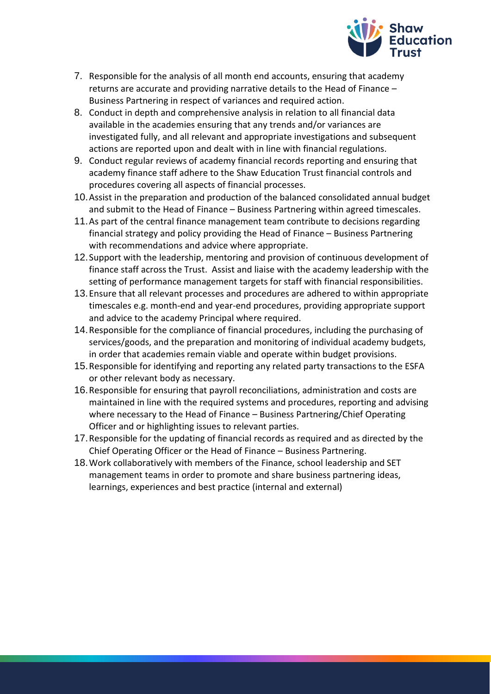

- 7. Responsible for the analysis of all month end accounts, ensuring that academy returns are accurate and providing narrative details to the Head of Finance – Business Partnering in respect of variances and required action.
- 8. Conduct in depth and comprehensive analysis in relation to all financial data available in the academies ensuring that any trends and/or variances are investigated fully, and all relevant and appropriate investigations and subsequent actions are reported upon and dealt with in line with financial regulations.
- 9. Conduct regular reviews of academy financial records reporting and ensuring that academy finance staff adhere to the Shaw Education Trust financial controls and procedures covering all aspects of financial processes.
- 10.Assist in the preparation and production of the balanced consolidated annual budget and submit to the Head of Finance – Business Partnering within agreed timescales.
- 11.As part of the central finance management team contribute to decisions regarding financial strategy and policy providing the Head of Finance – Business Partnering with recommendations and advice where appropriate.
- 12.Support with the leadership, mentoring and provision of continuous development of finance staff across the Trust. Assist and liaise with the academy leadership with the setting of performance management targets for staff with financial responsibilities.
- 13.Ensure that all relevant processes and procedures are adhered to within appropriate timescales e.g. month-end and year-end procedures, providing appropriate support and advice to the academy Principal where required.
- 14.Responsible for the compliance of financial procedures, including the purchasing of services/goods, and the preparation and monitoring of individual academy budgets, in order that academies remain viable and operate within budget provisions.
- 15.Responsible for identifying and reporting any related party transactions to the ESFA or other relevant body as necessary.
- 16.Responsible for ensuring that payroll reconciliations, administration and costs are maintained in line with the required systems and procedures, reporting and advising where necessary to the Head of Finance – Business Partnering/Chief Operating Officer and or highlighting issues to relevant parties.
- 17.Responsible for the updating of financial records as required and as directed by the Chief Operating Officer or the Head of Finance – Business Partnering.
- 18.Work collaboratively with members of the Finance, school leadership and SET management teams in order to promote and share business partnering ideas, learnings, experiences and best practice (internal and external)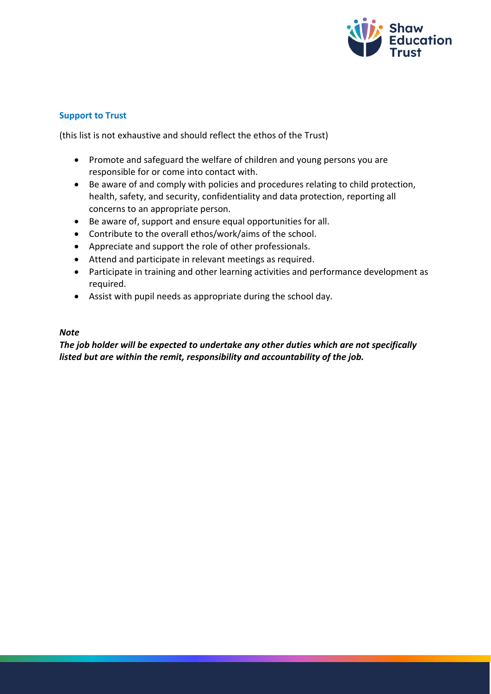

# **Support to Trust**

(this list is not exhaustive and should reflect the ethos of the Trust)

- Promote and safeguard the welfare of children and young persons you are responsible for or come into contact with.
- Be aware of and comply with policies and procedures relating to child protection, health, safety, and security, confidentiality and data protection, reporting all concerns to an appropriate person.
- Be aware of, support and ensure equal opportunities for all.
- Contribute to the overall ethos/work/aims of the school.
- Appreciate and support the role of other professionals.
- Attend and participate in relevant meetings as required.
- Participate in training and other learning activities and performance development as required.
- Assist with pupil needs as appropriate during the school day.

## *Note*

*The job holder will be expected to undertake any other duties which are not specifically listed but are within the remit, responsibility and accountability of the job.*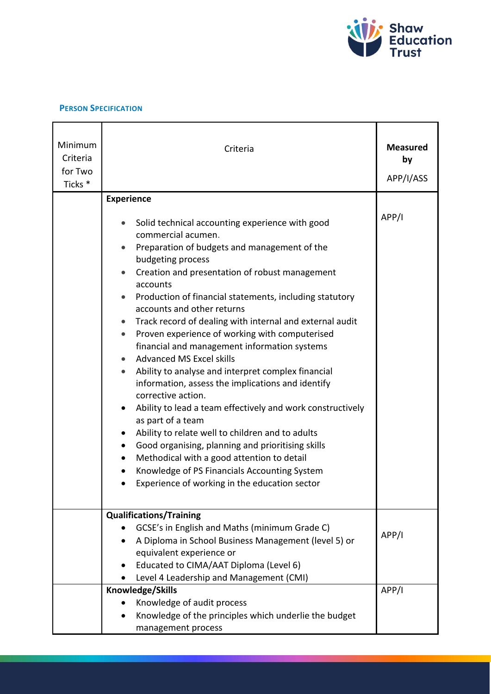

#### **PERSON SPECIFICATION**

| Minimum<br>Criteria<br>for Two<br>Ticks <sup>*</sup> | Criteria                                                                                                                                                                                                                                                                                                                                                                                                                                                                                                                                                                                                                                                                                                                                                                                                                                                                                                                                                                                                                                   | <b>Measured</b><br>by<br>APP/I/ASS |
|------------------------------------------------------|--------------------------------------------------------------------------------------------------------------------------------------------------------------------------------------------------------------------------------------------------------------------------------------------------------------------------------------------------------------------------------------------------------------------------------------------------------------------------------------------------------------------------------------------------------------------------------------------------------------------------------------------------------------------------------------------------------------------------------------------------------------------------------------------------------------------------------------------------------------------------------------------------------------------------------------------------------------------------------------------------------------------------------------------|------------------------------------|
|                                                      | <b>Experience</b><br>Solid technical accounting experience with good<br>commercial acumen.<br>Preparation of budgets and management of the<br>budgeting process<br>Creation and presentation of robust management<br>accounts<br>Production of financial statements, including statutory<br>accounts and other returns<br>Track record of dealing with internal and external audit<br>Proven experience of working with computerised<br>$\bullet$<br>financial and management information systems<br><b>Advanced MS Excel skills</b><br>$\bullet$<br>Ability to analyse and interpret complex financial<br>$\bullet$<br>information, assess the implications and identify<br>corrective action.<br>Ability to lead a team effectively and work constructively<br>as part of a team<br>Ability to relate well to children and to adults<br>Good organising, planning and prioritising skills<br>Methodical with a good attention to detail<br>Knowledge of PS Financials Accounting System<br>Experience of working in the education sector | APP/I                              |
|                                                      | <b>Qualifications/Training</b><br>GCSE's in English and Maths (minimum Grade C)<br>A Diploma in School Business Management (level 5) or<br>equivalent experience or<br>Educated to CIMA/AAT Diploma (Level 6)<br>Level 4 Leadership and Management (CMI)                                                                                                                                                                                                                                                                                                                                                                                                                                                                                                                                                                                                                                                                                                                                                                                   | APP/I                              |
|                                                      | Knowledge/Skills<br>Knowledge of audit process<br>Knowledge of the principles which underlie the budget<br>management process                                                                                                                                                                                                                                                                                                                                                                                                                                                                                                                                                                                                                                                                                                                                                                                                                                                                                                              | APP/I                              |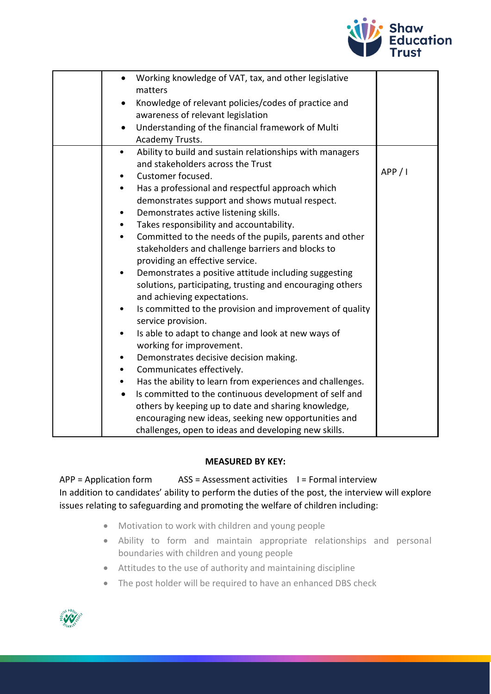

| $\bullet$<br>$\bullet$<br>$\bullet$                                                                       | Working knowledge of VAT, tax, and other legislative<br>matters<br>Knowledge of relevant policies/codes of practice and<br>awareness of relevant legislation<br>Understanding of the financial framework of Multi<br>Academy Trusts.                                                                                                                                                                                                                                                                                                                                                                                                                                                                                                                                                                                                                                                                                                                                                                                                                                                                                                                           |         |
|-----------------------------------------------------------------------------------------------------------|----------------------------------------------------------------------------------------------------------------------------------------------------------------------------------------------------------------------------------------------------------------------------------------------------------------------------------------------------------------------------------------------------------------------------------------------------------------------------------------------------------------------------------------------------------------------------------------------------------------------------------------------------------------------------------------------------------------------------------------------------------------------------------------------------------------------------------------------------------------------------------------------------------------------------------------------------------------------------------------------------------------------------------------------------------------------------------------------------------------------------------------------------------------|---------|
| $\bullet$<br>$\bullet$<br>$\bullet$<br>$\bullet$<br>$\bullet$<br>$\bullet$<br>٠<br>$\bullet$<br>$\bullet$ | Ability to build and sustain relationships with managers<br>and stakeholders across the Trust<br>Customer focused.<br>Has a professional and respectful approach which<br>demonstrates support and shows mutual respect.<br>Demonstrates active listening skills.<br>Takes responsibility and accountability.<br>Committed to the needs of the pupils, parents and other<br>stakeholders and challenge barriers and blocks to<br>providing an effective service.<br>Demonstrates a positive attitude including suggesting<br>solutions, participating, trusting and encouraging others<br>and achieving expectations.<br>Is committed to the provision and improvement of quality<br>service provision.<br>Is able to adapt to change and look at new ways of<br>working for improvement.<br>Demonstrates decisive decision making.<br>Communicates effectively.<br>Has the ability to learn from experiences and challenges.<br>Is committed to the continuous development of self and<br>others by keeping up to date and sharing knowledge,<br>encouraging new ideas, seeking new opportunities and<br>challenges, open to ideas and developing new skills. | APP / I |

### **MEASURED BY KEY:**

 $APP = Application form$  ASS = Assessment activities  $I = Formal$  interview In addition to candidates' ability to perform the duties of the post, the interview will explore issues relating to safeguarding and promoting the welfare of children including:

- Motivation to work with children and young people
- Ability to form and maintain appropriate relationships and personal boundaries with children and young people
- Attitudes to the use of authority and maintaining discipline
- The post holder will be required to have an enhanced DBS check